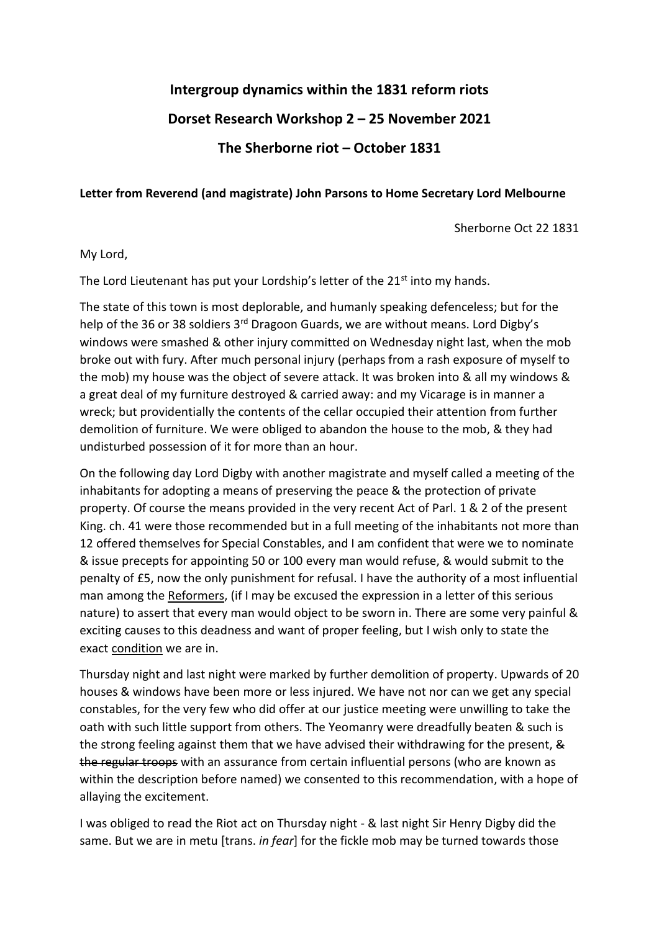## **Intergroup dynamics within the 1831 reform riots Dorset Research Workshop 2 – 25 November 2021**

**The Sherborne riot – October 1831**

## **Letter from Reverend (and magistrate) John Parsons to Home Secretary Lord Melbourne**

Sherborne Oct 22 1831

## My Lord,

The Lord Lieutenant has put your Lordship's letter of the 21<sup>st</sup> into my hands.

The state of this town is most deplorable, and humanly speaking defenceless; but for the help of the 36 or 38 soldiers 3<sup>rd</sup> Dragoon Guards, we are without means. Lord Digby's windows were smashed & other injury committed on Wednesday night last, when the mob broke out with fury. After much personal injury (perhaps from a rash exposure of myself to the mob) my house was the object of severe attack. It was broken into & all my windows & a great deal of my furniture destroyed & carried away: and my Vicarage is in manner a wreck; but providentially the contents of the cellar occupied their attention from further demolition of furniture. We were obliged to abandon the house to the mob, & they had undisturbed possession of it for more than an hour.

On the following day Lord Digby with another magistrate and myself called a meeting of the inhabitants for adopting a means of preserving the peace & the protection of private property. Of course the means provided in the very recent Act of Parl. 1 & 2 of the present King. ch. 41 were those recommended but in a full meeting of the inhabitants not more than 12 offered themselves for Special Constables, and I am confident that were we to nominate & issue precepts for appointing 50 or 100 every man would refuse, & would submit to the penalty of £5, now the only punishment for refusal. I have the authority of a most influential man among the Reformers, (if I may be excused the expression in a letter of this serious nature) to assert that every man would object to be sworn in. There are some very painful & exciting causes to this deadness and want of proper feeling, but I wish only to state the exact condition we are in.

Thursday night and last night were marked by further demolition of property. Upwards of 20 houses & windows have been more or less injured. We have not nor can we get any special constables, for the very few who did offer at our justice meeting were unwilling to take the oath with such little support from others. The Yeomanry were dreadfully beaten & such is the strong feeling against them that we have advised their withdrawing for the present, & the regular troops with an assurance from certain influential persons (who are known as within the description before named) we consented to this recommendation, with a hope of allaying the excitement.

I was obliged to read the Riot act on Thursday night - & last night Sir Henry Digby did the same. But we are in metu [trans. *in fear*] for the fickle mob may be turned towards those